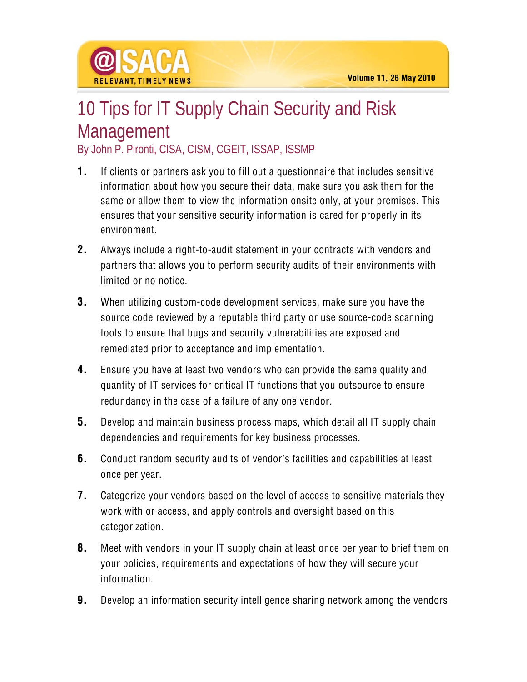

## 10 Tips for IT Supply Chain Security and Risk **Management**

By John P. Pironti, CISA, CISM, CGEIT, ISSAP, ISSMP

- **1.** If clients or partners ask you to fill out a questionnaire that includes sensitive information about how you secure their data, make sure you ask them for the same or allow them to view the information onsite only, at your premises. This ensures that your sensitive security information is cared for properly in its environment.
- **2.** Always include a right-to-audit statement in your contracts with vendors and partners that allows you to perform security audits of their environments with limited or no notice.
- **3.** When utilizing custom-code development services, make sure you have the source code reviewed by a reputable third party or use source-code scanning tools to ensure that bugs and security vulnerabilities are exposed and remediated prior to acceptance and implementation.
- **4.** Ensure you have at least two vendors who can provide the same quality and quantity of IT services for critical IT functions that you outsource to ensure redundancy in the case of a failure of any one vendor.
- **5.** Develop and maintain business process maps, which detail all IT supply chain dependencies and requirements for key business processes.
- **6.** Conduct random security audits of vendor's facilities and capabilities at least once per year.
- **7.** Categorize your vendors based on the level of access to sensitive materials they work with or access, and apply controls and oversight based on this categorization.
- **8.** Meet with vendors in your IT supply chain at least once per year to brief them on your policies, requirements and expectations of how they will secure your information.
- **9.** Develop an information security intelligence sharing network among the vendors